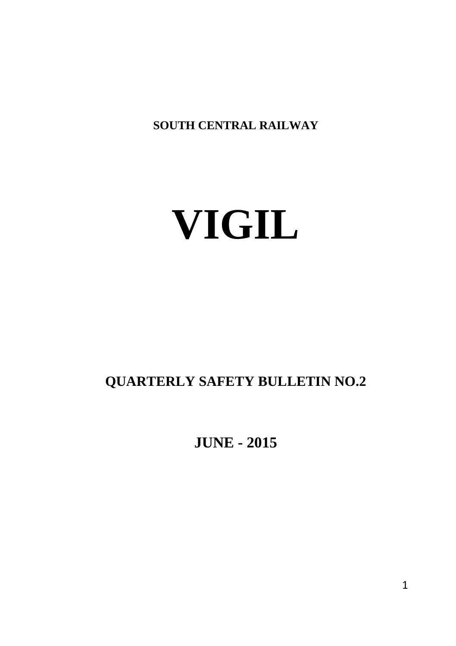**SOUTH CENTRAL RAILWAY**

# **VIGIL**

# **QUARTERLY SAFETY BULLETIN NO.2**

**JUNE - 2015**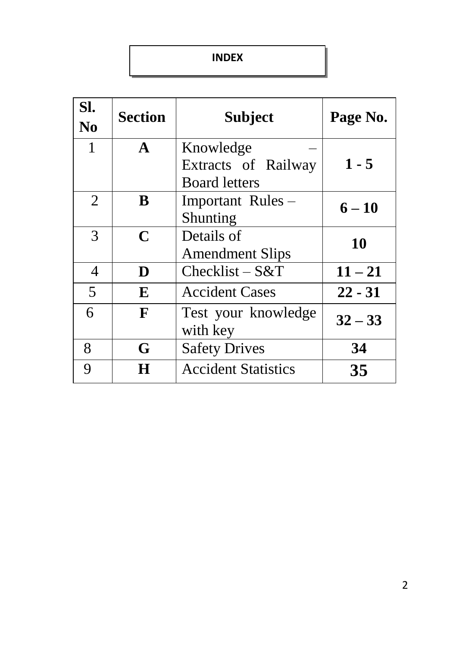#### **INDEX**

| SI.<br>N <sub>0</sub> | <b>Section</b> | <b>Subject</b>                  | Page No.  |
|-----------------------|----------------|---------------------------------|-----------|
| 1                     | $\mathbf{A}$   | Knowledge                       |           |
|                       |                | Extracts of Railway             | $1 - 5$   |
|                       |                | <b>Board letters</b>            |           |
| $\overline{2}$        | B              | Important Rules-                | $6 - 10$  |
|                       |                | Shunting                        |           |
| 3                     | C              | Details of                      | 10        |
|                       |                | <b>Amendment Slips</b>          |           |
| 4                     | D              | $Checklist - S&T$               | $11 - 21$ |
| 5                     | E              | <b>Accident Cases</b>           | $22 - 31$ |
| 6                     | $\mathbf{F}$   | Test your knowledge<br>with key | $32 - 33$ |
| 8                     | G              | <b>Safety Drives</b>            | 34        |
| 9                     | H              | <b>Accident Statistics</b>      | 35        |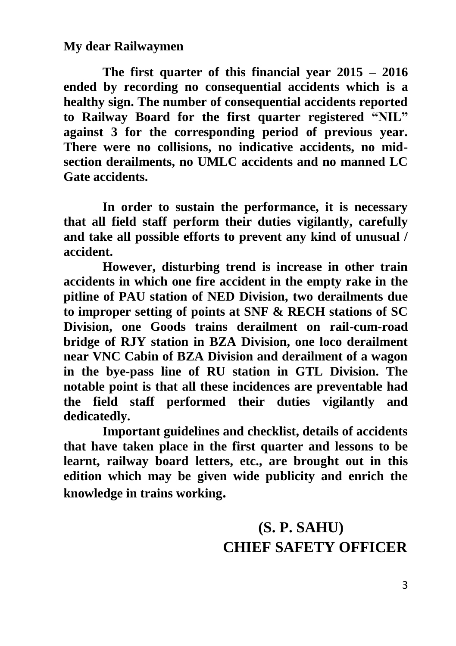#### **My dear Railwaymen**

**The first quarter of this financial year 2015 – 2016 ended by recording no consequential accidents which is a healthy sign. The number of consequential accidents reported to Railway Board for the first quarter registered "NIL" against 3 for the corresponding period of previous year. There were no collisions, no indicative accidents, no midsection derailments, no UMLC accidents and no manned LC Gate accidents.**

**In order to sustain the performance, it is necessary that all field staff perform their duties vigilantly, carefully and take all possible efforts to prevent any kind of unusual / accident.**

**However, disturbing trend is increase in other train accidents in which one fire accident in the empty rake in the pitline of PAU station of NED Division, two derailments due to improper setting of points at SNF & RECH stations of SC Division, one Goods trains derailment on rail-cum-road bridge of RJY station in BZA Division, one loco derailment near VNC Cabin of BZA Division and derailment of a wagon in the bye-pass line of RU station in GTL Division. The notable point is that all these incidences are preventable had the field staff performed their duties vigilantly and dedicatedly.**

**Important guidelines and checklist, details of accidents that have taken place in the first quarter and lessons to be learnt, railway board letters, etc., are brought out in this edition which may be given wide publicity and enrich the knowledge in trains working.** 

# **(S. P. SAHU) CHIEF SAFETY OFFICER**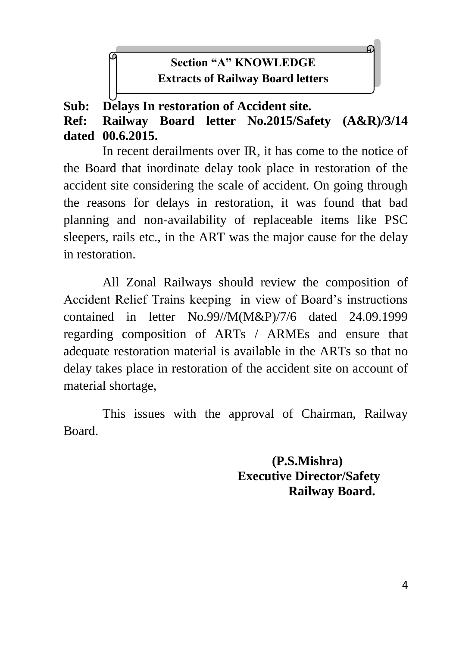### **Section "A" KNOWLEDGE Extracts of Railway Board letters**

#### **Sub: Delays In restoration of Accident site. Ref: Railway Board letter No.2015/Safety (A&R)/3/14 dated 00.6.2015.**

In recent derailments over IR, it has come to the notice of the Board that inordinate delay took place in restoration of the accident site considering the scale of accident. On going through the reasons for delays in restoration, it was found that bad planning and non-availability of replaceable items like PSC sleepers, rails etc., in the ART was the major cause for the delay in restoration.

All Zonal Railways should review the composition of Accident Relief Trains keeping in view of Board's instructions contained in letter No.99//M(M&P)/7/6 dated 24.09.1999 regarding composition of ARTs / ARMEs and ensure that adequate restoration material is available in the ARTs so that no delay takes place in restoration of the accident site on account of material shortage,

This issues with the approval of Chairman, Railway Board.

> **(P.S.Mishra) Executive Director/Safety Railway Board.**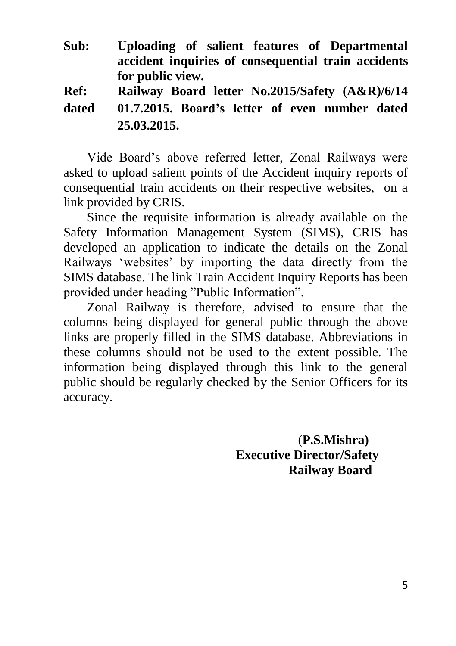**Sub: Uploading of salient features of Departmental accident inquiries of consequential train accidents for public view.**

#### **Ref: Railway Board letter No.2015/Safety (A&R)/6/14**

#### **dated 01.7.2015. Board's letter of even number dated 25.03.2015.**

Vide Board's above referred letter, Zonal Railways were asked to upload salient points of the Accident inquiry reports of consequential train accidents on their respective websites, on a link provided by CRIS.

Since the requisite information is already available on the Safety Information Management System (SIMS), CRIS has developed an application to indicate the details on the Zonal Railways 'websites' by importing the data directly from the SIMS database. The link Train Accident Inquiry Reports has been provided under heading "Public Information".

Zonal Railway is therefore, advised to ensure that the columns being displayed for general public through the above links are properly filled in the SIMS database. Abbreviations in these columns should not be used to the extent possible. The information being displayed through this link to the general public should be regularly checked by the Senior Officers for its accuracy.

> (**P.S.Mishra) Executive Director/Safety Railway Board**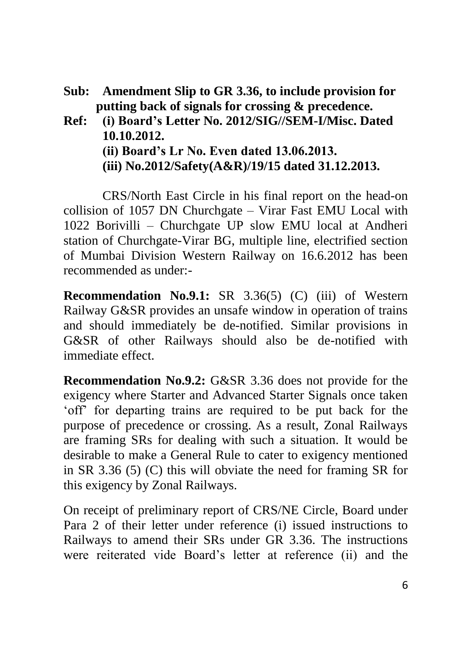- **Sub: Amendment Slip to GR 3.36, to include provision for putting back of signals for crossing & precedence.**
- **Ref: (i) Board's Letter No. 2012/SIG//SEM-I/Misc. Dated 10.10.2012. (ii) Board's Lr No. Even dated 13.06.2013. (iii) No.2012/Safety(A&R)/19/15 dated 31.12.2013.**

CRS/North East Circle in his final report on the head-on collision of 1057 DN Churchgate – Virar Fast EMU Local with 1022 Borivilli – Churchgate UP slow EMU local at Andheri station of Churchgate-Virar BG, multiple line, electrified section of Mumbai Division Western Railway on 16.6.2012 has been recommended as under:-

**Recommendation No.9.1:** SR 3.36(5) (C) (iii) of Western Railway G&SR provides an unsafe window in operation of trains and should immediately be de-notified. Similar provisions in G&SR of other Railways should also be de-notified with immediate effect.

**Recommendation No.9.2:** G&SR 3.36 does not provide for the exigency where Starter and Advanced Starter Signals once taken 'off' for departing trains are required to be put back for the purpose of precedence or crossing. As a result, Zonal Railways are framing SRs for dealing with such a situation. It would be desirable to make a General Rule to cater to exigency mentioned in SR 3.36 (5) (C) this will obviate the need for framing SR for this exigency by Zonal Railways.

On receipt of preliminary report of CRS/NE Circle, Board under Para 2 of their letter under reference (i) issued instructions to Railways to amend their SRs under GR 3.36. The instructions were reiterated vide Board's letter at reference (ii) and the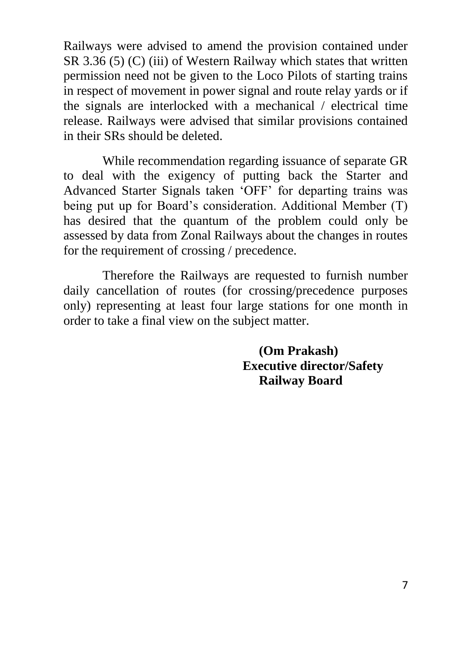Railways were advised to amend the provision contained under SR 3.36 (5) (C) (iii) of Western Railway which states that written permission need not be given to the Loco Pilots of starting trains in respect of movement in power signal and route relay yards or if the signals are interlocked with a mechanical / electrical time release. Railways were advised that similar provisions contained in their SRs should be deleted.

While recommendation regarding issuance of separate GR to deal with the exigency of putting back the Starter and Advanced Starter Signals taken 'OFF' for departing trains was being put up for Board's consideration. Additional Member (T) has desired that the quantum of the problem could only be assessed by data from Zonal Railways about the changes in routes for the requirement of crossing / precedence.

Therefore the Railways are requested to furnish number daily cancellation of routes (for crossing/precedence purposes only) representing at least four large stations for one month in order to take a final view on the subject matter.

> **(Om Prakash) Executive director/Safety Railway Board**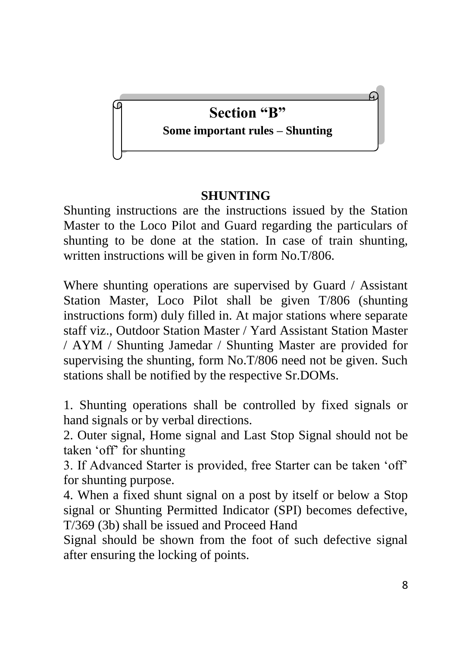# **Section "B"**

#### **Some important rules – Shunting**

#### **SHUNTING**

Shunting instructions are the instructions issued by the Station Master to the Loco Pilot and Guard regarding the particulars of shunting to be done at the station. In case of train shunting, written instructions will be given in form No.T/806.

Where shunting operations are supervised by Guard / Assistant Station Master, Loco Pilot shall be given T/806 (shunting instructions form) duly filled in. At major stations where separate staff viz., Outdoor Station Master / Yard Assistant Station Master / AYM / Shunting Jamedar / Shunting Master are provided for supervising the shunting, form No.T/806 need not be given. Such stations shall be notified by the respective Sr.DOMs.

1. Shunting operations shall be controlled by fixed signals or hand signals or by verbal directions.

2. Outer signal, Home signal and Last Stop Signal should not be taken 'off' for shunting

3. If Advanced Starter is provided, free Starter can be taken 'off' for shunting purpose.

4. When a fixed shunt signal on a post by itself or below a Stop signal or Shunting Permitted Indicator (SPI) becomes defective, T/369 (3b) shall be issued and Proceed Hand

Signal should be shown from the foot of such defective signal after ensuring the locking of points.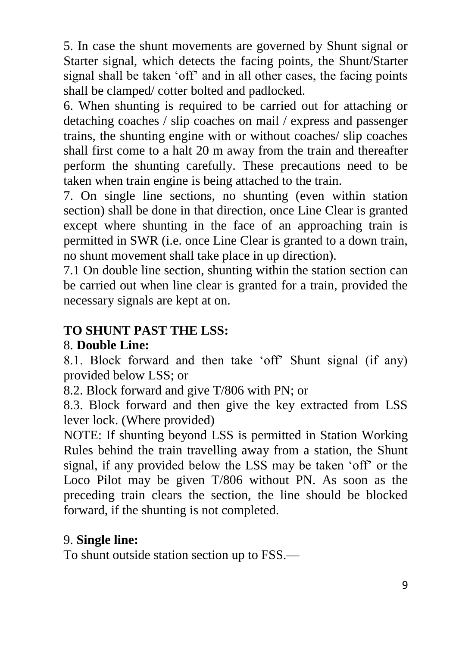5. In case the shunt movements are governed by Shunt signal or Starter signal, which detects the facing points, the Shunt/Starter signal shall be taken 'off' and in all other cases, the facing points shall be clamped/ cotter bolted and padlocked.

6. When shunting is required to be carried out for attaching or detaching coaches / slip coaches on mail / express and passenger trains, the shunting engine with or without coaches/ slip coaches shall first come to a halt 20 m away from the train and thereafter perform the shunting carefully. These precautions need to be taken when train engine is being attached to the train.

7. On single line sections, no shunting (even within station section) shall be done in that direction, once Line Clear is granted except where shunting in the face of an approaching train is permitted in SWR (i.e. once Line Clear is granted to a down train, no shunt movement shall take place in up direction).

7.1 On double line section, shunting within the station section can be carried out when line clear is granted for a train, provided the necessary signals are kept at on.

#### **TO SHUNT PAST THE LSS:**

#### 8. **Double Line:**

8.1. Block forward and then take 'off' Shunt signal (if any) provided below LSS; or

8.2. Block forward and give T/806 with PN; or

8.3. Block forward and then give the key extracted from LSS lever lock. (Where provided)

NOTE: If shunting beyond LSS is permitted in Station Working Rules behind the train travelling away from a station, the Shunt signal, if any provided below the LSS may be taken 'off' or the Loco Pilot may be given T/806 without PN. As soon as the preceding train clears the section, the line should be blocked forward, if the shunting is not completed.

#### 9. **Single line:**

To shunt outside station section up to FSS.––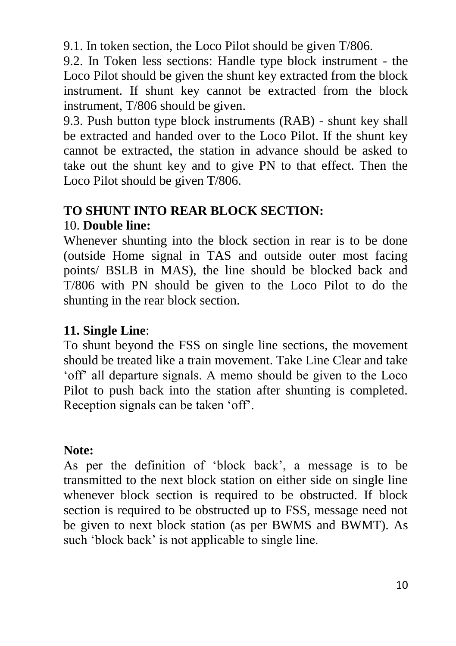9.1. In token section, the Loco Pilot should be given T/806.

9.2. In Token less sections: Handle type block instrument - the Loco Pilot should be given the shunt key extracted from the block instrument. If shunt key cannot be extracted from the block instrument, T/806 should be given.

9.3. Push button type block instruments (RAB) - shunt key shall be extracted and handed over to the Loco Pilot. If the shunt key cannot be extracted, the station in advance should be asked to take out the shunt key and to give PN to that effect. Then the Loco Pilot should be given T/806.

# **TO SHUNT INTO REAR BLOCK SECTION:**

#### 10. **Double line:**

Whenever shunting into the block section in rear is to be done (outside Home signal in TAS and outside outer most facing points/ BSLB in MAS), the line should be blocked back and T/806 with PN should be given to the Loco Pilot to do the shunting in the rear block section.

#### **11. Single Line**:

To shunt beyond the FSS on single line sections, the movement should be treated like a train movement. Take Line Clear and take 'off' all departure signals. A memo should be given to the Loco Pilot to push back into the station after shunting is completed. Reception signals can be taken 'off'.

#### **Note:**

As per the definition of 'block back', a message is to be transmitted to the next block station on either side on single line whenever block section is required to be obstructed. If block section is required to be obstructed up to FSS, message need not be given to next block station (as per BWMS and BWMT). As such 'block back' is not applicable to single line.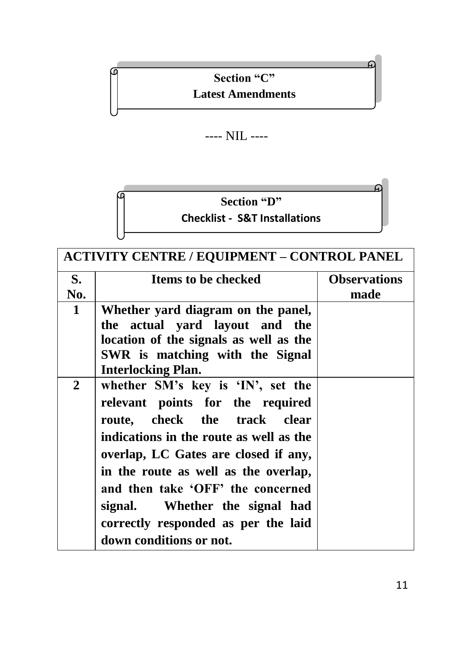#### **Section "C" Latest Amendments**

---- NIL ----

**Section "D"** 

**Checklist - S&T Installations**

| <b>ACTIVITY CENTRE / EQUIPMENT - CONTROL PANEL</b> |                                         |                     |  |
|----------------------------------------------------|-----------------------------------------|---------------------|--|
| S.                                                 | Items to be checked                     | <b>Observations</b> |  |
| No.                                                |                                         | made                |  |
| $\mathbf{1}$                                       | Whether yard diagram on the panel,      |                     |  |
|                                                    | the actual yard layout and the          |                     |  |
|                                                    | location of the signals as well as the  |                     |  |
|                                                    | SWR is matching with the Signal         |                     |  |
|                                                    | <b>Interlocking Plan.</b>               |                     |  |
| $\overline{2}$                                     | whether SM's key is 'IN', set the       |                     |  |
|                                                    | relevant points for the required        |                     |  |
|                                                    | route, check the track clear            |                     |  |
|                                                    | indications in the route as well as the |                     |  |
|                                                    | overlap, LC Gates are closed if any,    |                     |  |
|                                                    | in the route as well as the overlap,    |                     |  |
|                                                    | and then take 'OFF' the concerned       |                     |  |
|                                                    | signal. Whether the signal had          |                     |  |
|                                                    | correctly responded as per the laid     |                     |  |
|                                                    | down conditions or not.                 |                     |  |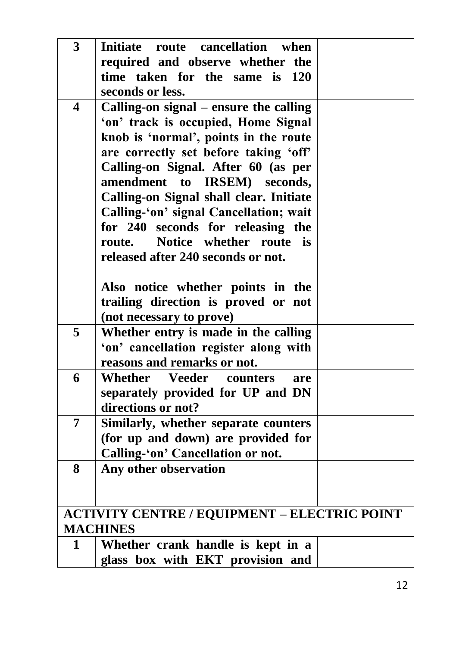| $\overline{\mathbf{3}}$                                                |                                               |  |
|------------------------------------------------------------------------|-----------------------------------------------|--|
|                                                                        | Initiate route cancellation when              |  |
|                                                                        | required and observe whether the              |  |
|                                                                        | time taken for the same is 120                |  |
|                                                                        | seconds or less.                              |  |
| $\overline{\mathbf{4}}$                                                | Calling-on signal – ensure the calling        |  |
|                                                                        | 'on' track is occupied, Home Signal           |  |
|                                                                        | knob is 'normal', points in the route         |  |
|                                                                        | are correctly set before taking 'off'         |  |
|                                                                        | Calling-on Signal. After 60 (as per           |  |
|                                                                        | amendment<br><b>IRSEM</b> )<br>seconds.<br>to |  |
|                                                                        | Calling-on Signal shall clear. Initiate       |  |
|                                                                        | Calling-'on' signal Cancellation; wait        |  |
|                                                                        | for 240 seconds for releasing the             |  |
|                                                                        | Notice whether route<br>route.<br><i>is</i>   |  |
|                                                                        | released after 240 seconds or not.            |  |
|                                                                        |                                               |  |
|                                                                        | Also notice whether points in the             |  |
|                                                                        | trailing direction is proved or not           |  |
|                                                                        | (not necessary to prove)                      |  |
| 5                                                                      | Whether entry is made in the calling          |  |
|                                                                        | 'on' cancellation register along with         |  |
|                                                                        | reasons and remarks or not.                   |  |
| 6                                                                      | Whether<br><b>Veeder</b><br>counters<br>are   |  |
|                                                                        | separately provided for UP and DN             |  |
|                                                                        | directions or not?                            |  |
| 7                                                                      | Similarly, whether separate counters          |  |
|                                                                        | (for up and down) are provided for            |  |
|                                                                        | Calling-'on' Cancellation or not.             |  |
| 8                                                                      |                                               |  |
|                                                                        | Any other observation                         |  |
|                                                                        |                                               |  |
|                                                                        |                                               |  |
| <b>ACTIVITY CENTRE / EQUIPMENT - ELECTRIC POINT</b><br><b>MACHINES</b> |                                               |  |
| $\mathbf{1}$                                                           | Whether crank handle is kept in a             |  |
|                                                                        | glass box with EKT provision and              |  |
|                                                                        |                                               |  |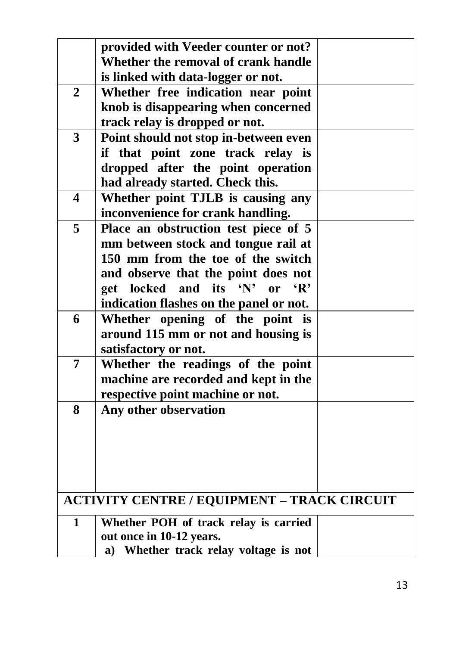|                                                    | provided with Veeder counter or not?                                         |  |
|----------------------------------------------------|------------------------------------------------------------------------------|--|
|                                                    | Whether the removal of crank handle                                          |  |
|                                                    | is linked with data-logger or not.                                           |  |
| $\mathbf{2}$                                       | Whether free indication near point                                           |  |
|                                                    | knob is disappearing when concerned                                          |  |
|                                                    | track relay is dropped or not.                                               |  |
| $\overline{\mathbf{3}}$                            | Point should not stop in-between even                                        |  |
|                                                    | if that point zone track relay is                                            |  |
|                                                    | dropped after the point operation                                            |  |
|                                                    | had already started. Check this.                                             |  |
| $\overline{\mathbf{4}}$                            | Whether point TJLB is causing any                                            |  |
|                                                    | inconvenience for crank handling.                                            |  |
| 5                                                  | Place an obstruction test piece of 5                                         |  |
|                                                    | mm between stock and tongue rail at                                          |  |
|                                                    | 150 mm from the toe of the switch                                            |  |
|                                                    | and observe that the point does not                                          |  |
|                                                    | its<br>and<br>$\mathbf{N}$<br>get<br>locked<br>$\mathbf{or}$<br>$\mathbf{R}$ |  |
|                                                    | indication flashes on the panel or not.                                      |  |
| 6                                                  | Whether opening of the point is                                              |  |
|                                                    | around 115 mm or not and housing is                                          |  |
|                                                    | satisfactory or not.                                                         |  |
| $\overline{7}$                                     | Whether the readings of the point                                            |  |
|                                                    | machine are recorded and kept in the                                         |  |
|                                                    | respective point machine or not.                                             |  |
| 8                                                  | Any other observation                                                        |  |
|                                                    |                                                                              |  |
|                                                    |                                                                              |  |
|                                                    |                                                                              |  |
|                                                    |                                                                              |  |
|                                                    |                                                                              |  |
| <b>ACTIVITY CENTRE / EQUIPMENT - TRACK CIRCUIT</b> |                                                                              |  |
| $\mathbf{1}$                                       | Whether POH of track relay is carried                                        |  |
|                                                    | out once in 10-12 years.                                                     |  |
|                                                    | a) Whether track relay voltage is not                                        |  |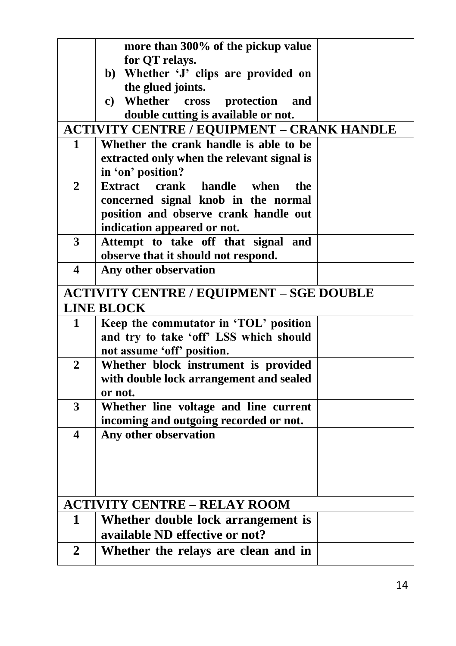|                         | more than 300% of the pickup value                                    |
|-------------------------|-----------------------------------------------------------------------|
|                         | for QT relays.                                                        |
|                         | b) Whether 'J' clips are provided on                                  |
|                         | the glued joints.                                                     |
|                         | Whether cross<br>protection<br>$\mathbf{c})$<br>and                   |
|                         | double cutting is available or not.                                   |
|                         | <b>ACTIVITY CENTRE / EQUIPMENT - CRANK HANDLE</b>                     |
| 1                       | Whether the crank handle is able to be                                |
|                         | extracted only when the relevant signal is                            |
|                         | in 'on' position?                                                     |
| $\overline{2}$          | handle<br>the<br><b>Extract</b><br>crank<br>when                      |
|                         | concerned signal knob in the normal                                   |
|                         | position and observe crank handle out                                 |
|                         | indication appeared or not.                                           |
| 3                       | Attempt to take off that signal<br>and                                |
|                         | observe that it should not respond.                                   |
| $\overline{\mathbf{4}}$ | Any other observation                                                 |
|                         | <b>ACTIVITY CENTRE / EQUIPMENT - SGE DOUBLE</b>                       |
|                         | <b>LINE BLOCK</b>                                                     |
| 1                       | Keep the commutator in 'TOL' position                                 |
|                         | and try to take 'off' LSS which should                                |
|                         | not assume 'off' position.                                            |
| $\overline{2}$          | Whether block instrument is provided                                  |
|                         | with double lock arrangement and sealed                               |
|                         | or not.                                                               |
| 3                       | Whether line voltage and line current                                 |
|                         | incoming and outgoing recorded or not.                                |
| $\boldsymbol{4}$        | Any other observation                                                 |
|                         |                                                                       |
|                         |                                                                       |
|                         |                                                                       |
|                         |                                                                       |
|                         |                                                                       |
|                         | <b>ACTIVITY CENTRE - RELAY ROOM</b>                                   |
| $\mathbf{1}$            | Whether double lock arrangement is                                    |
| $\overline{2}$          | available ND effective or not?<br>Whether the relays are clean and in |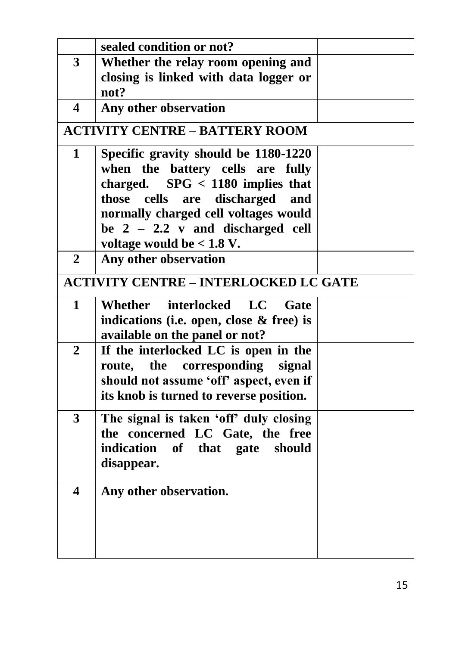|                         | sealed condition or not?                     |  |
|-------------------------|----------------------------------------------|--|
| 3                       | Whether the relay room opening and           |  |
|                         | closing is linked with data logger or        |  |
|                         | not?                                         |  |
| $\overline{\mathbf{4}}$ | Any other observation                        |  |
|                         | <b>ACTIVITY CENTRE - BATTERY ROOM</b>        |  |
| 1                       | Specific gravity should be 1180-1220         |  |
|                         | when the battery cells are fully             |  |
|                         | charged.<br>$SPG < 1180$ implies that        |  |
|                         | are discharged<br>those<br>cells<br>and      |  |
|                         | normally charged cell voltages would         |  |
|                         | be $2 - 2.2$ v and discharged cell           |  |
|                         | voltage would be $< 1.8$ V.                  |  |
| $\overline{2}$          | Any other observation                        |  |
|                         | <b>ACTIVITY CENTRE - INTERLOCKED LC GATE</b> |  |
| $\mathbf{1}$            | interlocked<br>LC<br>Whether<br>Gate         |  |
|                         | indications (i.e. open, close $\&$ free) is  |  |
|                         | available on the panel or not?               |  |
| $\overline{2}$          | If the interlocked LC is open in the         |  |
|                         | route, the corresponding<br>signal           |  |
|                         | should not assume 'off' aspect, even if      |  |
|                         | its knob is turned to reverse position.      |  |
| 3                       | The signal is taken 'off' duly closing       |  |
|                         | the concerned LC Gate, the free              |  |
|                         | indication<br>of that<br>gate<br>should      |  |
|                         | disappear.                                   |  |
| 4                       | Any other observation.                       |  |
|                         |                                              |  |
|                         |                                              |  |
|                         |                                              |  |
|                         |                                              |  |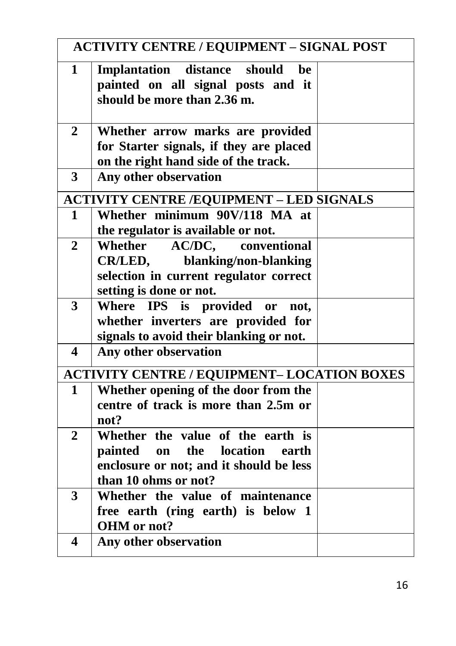| <b>ACTIVITY CENTRE / EQUIPMENT - SIGNAL POST</b> |                                                                                   |  |  |
|--------------------------------------------------|-----------------------------------------------------------------------------------|--|--|
| $\mathbf{1}$                                     | Implantation distance should<br>be                                                |  |  |
|                                                  | painted on all signal posts and it<br>should be more than 2.36 m.                 |  |  |
|                                                  |                                                                                   |  |  |
| $\overline{2}$                                   | Whether arrow marks are provided                                                  |  |  |
|                                                  | for Starter signals, if they are placed                                           |  |  |
|                                                  | on the right hand side of the track.                                              |  |  |
| 3                                                | Any other observation                                                             |  |  |
|                                                  | <b>ACTIVITY CENTRE /EQUIPMENT - LED SIGNALS</b>                                   |  |  |
| 1                                                | Whether minimum 90V/118 MA at                                                     |  |  |
|                                                  | the regulator is available or not.                                                |  |  |
| $\overline{2}$                                   | conventional<br><b>Whether</b><br>AC/DC,                                          |  |  |
|                                                  | blanking/non-blanking<br>CR/LED,                                                  |  |  |
|                                                  | selection in current regulator correct                                            |  |  |
|                                                  | setting is done or not.                                                           |  |  |
| 3                                                | Where IPS is provided or<br>not,                                                  |  |  |
|                                                  | whether inverters are provided for<br>signals to avoid their blanking or not.     |  |  |
| $\overline{\mathbf{4}}$                          | Any other observation                                                             |  |  |
|                                                  |                                                                                   |  |  |
|                                                  | <b>ACTIVITY CENTRE / EQUIPMENT- LOCATION BOXES</b>                                |  |  |
| $\mathbf{1}$                                     | Whether opening of the door from the                                              |  |  |
|                                                  | centre of track is more than 2.5m or                                              |  |  |
|                                                  | not?                                                                              |  |  |
| $\overline{2}$                                   | Whether the value of the earth is                                                 |  |  |
|                                                  | on the<br>location<br>painted<br>earth<br>enclosure or not; and it should be less |  |  |
|                                                  | than 10 ohms or not?                                                              |  |  |
| 3                                                | Whether the value of maintenance                                                  |  |  |
|                                                  | free earth (ring earth) is below 1                                                |  |  |
|                                                  | OHM or not?                                                                       |  |  |
| $\overline{\mathbf{4}}$                          | Any other observation                                                             |  |  |
|                                                  |                                                                                   |  |  |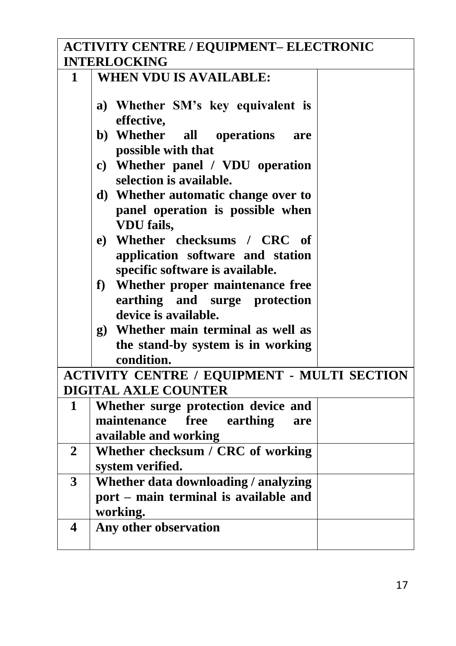|                             | <b>ACTIVITY CENTRE / EQUIPMENT- ELECTRONIC</b>     |  |  |  |
|-----------------------------|----------------------------------------------------|--|--|--|
|                             | <b>INTERLOCKING</b>                                |  |  |  |
| 1                           | <b>WHEN VDU IS AVAILABLE:</b>                      |  |  |  |
|                             |                                                    |  |  |  |
|                             | a) Whether SM's key equivalent is                  |  |  |  |
|                             | effective,                                         |  |  |  |
|                             | b) Whether all operations<br>are                   |  |  |  |
|                             | possible with that                                 |  |  |  |
|                             | c) Whether panel / VDU operation                   |  |  |  |
|                             | selection is available.                            |  |  |  |
|                             | d) Whether automatic change over to                |  |  |  |
|                             | panel operation is possible when                   |  |  |  |
|                             | VDU fails,<br>Whether checksums / CRC of           |  |  |  |
|                             | e)<br>application software and station             |  |  |  |
|                             | specific software is available.                    |  |  |  |
|                             | f) Whether proper maintenance free                 |  |  |  |
|                             | earthing and surge protection                      |  |  |  |
|                             | device is available.                               |  |  |  |
|                             | g) Whether main terminal as well as                |  |  |  |
|                             | the stand-by system is in working                  |  |  |  |
|                             | condition.                                         |  |  |  |
|                             | <b>ACTIVITY CENTRE / EQUIPMENT - MULTI SECTION</b> |  |  |  |
| <b>DIGITAL AXLE COUNTER</b> |                                                    |  |  |  |
| $\mathbf{1}$                | Whether surge protection device and                |  |  |  |
|                             | maintenance<br>free<br>earthing<br>are             |  |  |  |
|                             | available and working                              |  |  |  |
| $\overline{2}$              | Whether checksum / CRC of working                  |  |  |  |
|                             | system verified.                                   |  |  |  |
| $\overline{\mathbf{3}}$     | Whether data downloading / analyzing               |  |  |  |
|                             | port – main terminal is available and              |  |  |  |
|                             | working.                                           |  |  |  |
| $\overline{\mathbf{4}}$     | Any other observation                              |  |  |  |
|                             |                                                    |  |  |  |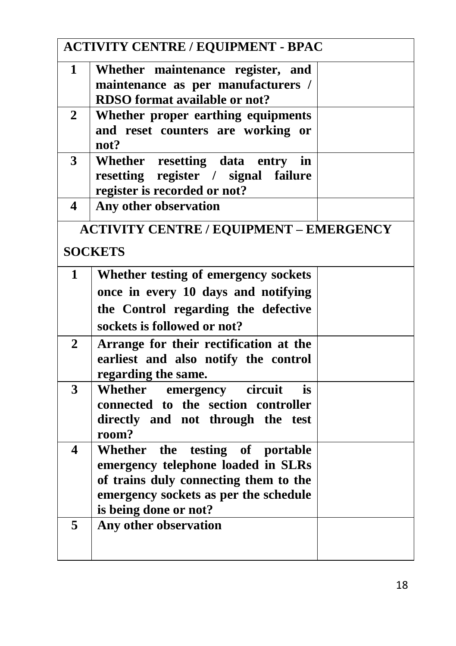|                         | <b>ACTIVITY CENTRE / EQUIPMENT - BPAC</b>                                                                    |  |  |  |
|-------------------------|--------------------------------------------------------------------------------------------------------------|--|--|--|
| $\mathbf{1}$            | Whether maintenance register, and<br>maintenance as per manufacturers /<br>RDSO format available or not?     |  |  |  |
| $\overline{2}$          | Whether proper earthing equipments<br>and reset counters are working or<br>not?                              |  |  |  |
| 3                       | Whether<br>resetting data entry<br>in<br>resetting register / signal failure<br>register is recorded or not? |  |  |  |
| $\overline{\mathbf{4}}$ | Any other observation                                                                                        |  |  |  |
|                         | <b>ACTIVITY CENTRE / EQUIPMENT - EMERGENCY</b>                                                               |  |  |  |
|                         | <b>SOCKETS</b>                                                                                               |  |  |  |
| $\mathbf{1}$            | Whether testing of emergency sockets                                                                         |  |  |  |
|                         | once in every 10 days and notifying                                                                          |  |  |  |
|                         | the Control regarding the defective                                                                          |  |  |  |
|                         | sockets is followed or not?                                                                                  |  |  |  |
| $\overline{2}$          | Arrange for their rectification at the<br>earliest and also notify the control                               |  |  |  |
|                         | regarding the same.                                                                                          |  |  |  |
| 3                       | Whether<br>emergency circuit<br>is                                                                           |  |  |  |
|                         | connected to the section controller                                                                          |  |  |  |
|                         | directly and not through the test<br>room?                                                                   |  |  |  |
| $\overline{\mathbf{4}}$ | Whether the testing of portable                                                                              |  |  |  |
|                         | emergency telephone loaded in SLRs                                                                           |  |  |  |
|                         | of trains duly connecting them to the                                                                        |  |  |  |
|                         | emergency sockets as per the schedule                                                                        |  |  |  |
| 5                       | is being done or not?                                                                                        |  |  |  |
|                         | Any other observation                                                                                        |  |  |  |
|                         |                                                                                                              |  |  |  |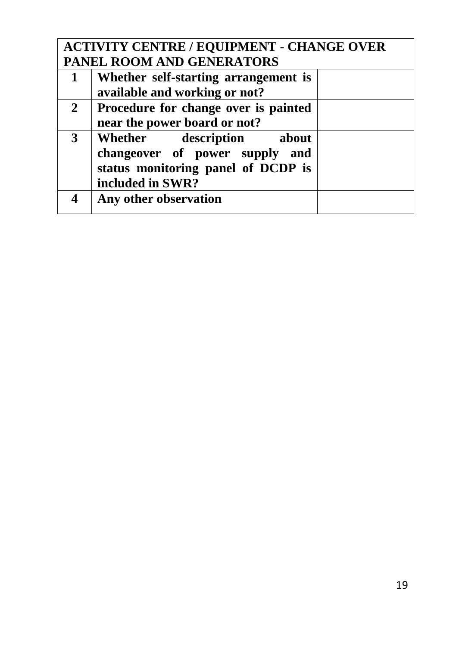|              | <b>ACTIVITY CENTRE / EQUIPMENT - CHANGE OVER</b> |  |  |  |
|--------------|--------------------------------------------------|--|--|--|
|              | PANEL ROOM AND GENERATORS                        |  |  |  |
| $\mathbf{1}$ | Whether self-starting arrangement is             |  |  |  |
|              | available and working or not?                    |  |  |  |
| $\mathbf{2}$ | Procedure for change over is painted             |  |  |  |
|              | near the power board or not?                     |  |  |  |
| 3            | Whether description about                        |  |  |  |
|              | changeover of power supply and                   |  |  |  |
|              | status monitoring panel of DCDP is               |  |  |  |
|              | included in SWR?                                 |  |  |  |
|              | Any other observation                            |  |  |  |
|              |                                                  |  |  |  |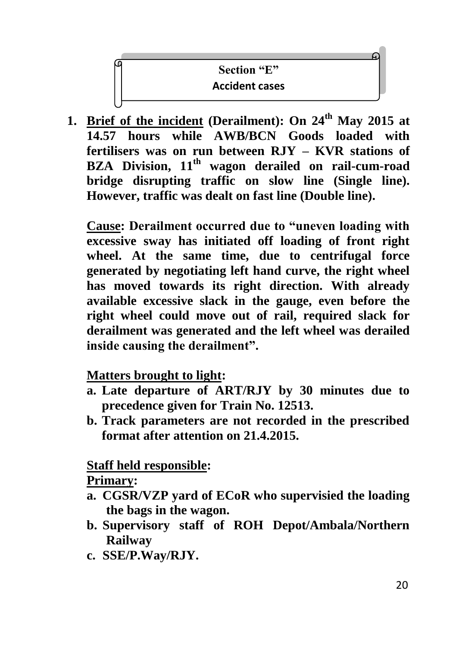# **Section "E" Accident cases**

**1. Brief of the incident (Derailment): On 24th May 2015 at 14.57 hours while AWB/BCN Goods loaded with fertilisers was on run between RJY – KVR stations of BZA Division, 11th wagon derailed on rail-cum-road bridge disrupting traffic on slow line (Single line). However, traffic was dealt on fast line (Double line).** 

**Cause: Derailment occurred due to "uneven loading with excessive sway has initiated off loading of front right wheel. At the same time, due to centrifugal force generated by negotiating left hand curve, the right wheel has moved towards its right direction. With already available excessive slack in the gauge, even before the right wheel could move out of rail, required slack for derailment was generated and the left wheel was derailed inside causing the derailment".**

**Matters brought to light:**

- **a. Late departure of ART/RJY by 30 minutes due to precedence given for Train No. 12513.**
- **b. Track parameters are not recorded in the prescribed format after attention on 21.4.2015.**

**Staff held responsible:** 

**Primary:** 

- **a. CGSR/VZP yard of ECoR who supervisied the loading the bags in the wagon.**
- **b. Supervisory staff of ROH Depot/Ambala/Northern Railway**
- **c. SSE/P.Way/RJY.**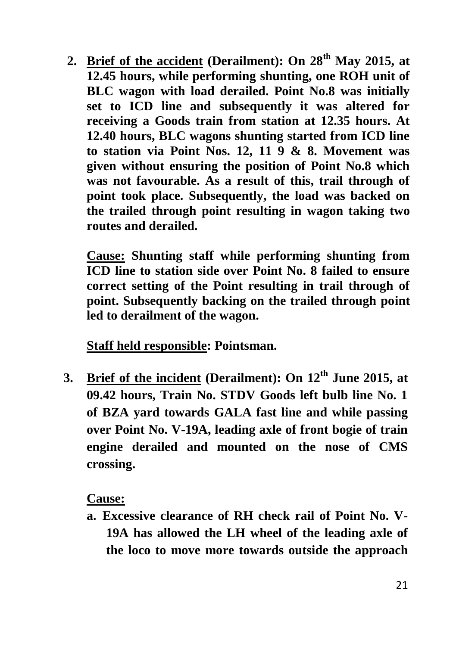**2. Brief of the accident (Derailment): On 28th May 2015, at 12.45 hours, while performing shunting, one ROH unit of BLC wagon with load derailed. Point No.8 was initially set to ICD line and subsequently it was altered for receiving a Goods train from station at 12.35 hours. At 12.40 hours, BLC wagons shunting started from ICD line to station via Point Nos. 12, 11 9 & 8. Movement was given without ensuring the position of Point No.8 which was not favourable. As a result of this, trail through of point took place. Subsequently, the load was backed on the trailed through point resulting in wagon taking two routes and derailed.**

**Cause: Shunting staff while performing shunting from ICD line to station side over Point No. 8 failed to ensure correct setting of the Point resulting in trail through of point. Subsequently backing on the trailed through point led to derailment of the wagon.**

**Staff held responsible: Pointsman.**

**3. Brief of the incident (Derailment): On 12th June 2015, at 09.42 hours, Train No. STDV Goods left bulb line No. 1 of BZA yard towards GALA fast line and while passing over Point No. V-19A, leading axle of front bogie of train engine derailed and mounted on the nose of CMS crossing.**

**Cause:** 

**a. Excessive clearance of RH check rail of Point No. V-19A has allowed the LH wheel of the leading axle of the loco to move more towards outside the approach**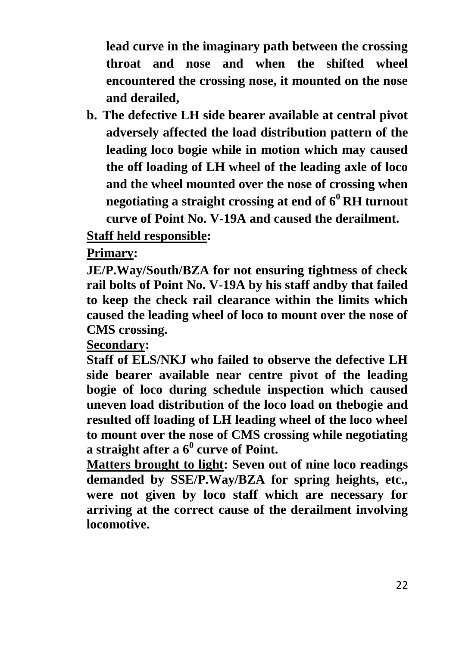**lead curve in the imaginary path between the crossing throat and nose and when the shifted wheel encountered the crossing nose, it mounted on the nose and derailed,**

**b. The defective LH side bearer available at central pivot adversely affected the load distribution pattern of the leading loco bogie while in motion which may caused the off loading of LH wheel of the leading axle of loco and the wheel mounted over the nose of crossing when negotiating a straight crossing at end of 6<sup>0</sup>RH turnout curve of Point No. V-19A and caused the derailment.**

**Staff held responsible:** 

**Primary:** 

**JE/P.Way/South/BZA for not ensuring tightness of check rail bolts of Point No. V-19A by his staff andby that failed to keep the check rail clearance within the limits which caused the leading wheel of loco to mount over the nose of CMS crossing.**

**Secondary:**

**Staff of ELS/NKJ who failed to observe the defective LH side bearer available near centre pivot of the leading bogie of loco during schedule inspection which caused uneven load distribution of the loco load on thebogie and resulted off loading of LH leading wheel of the loco wheel to mount over the nose of CMS crossing while negotiating a straight after a 6<sup>0</sup> curve of Point.**

**Matters brought to light: Seven out of nine loco readings demanded by SSE/P.Way/BZA for spring heights, etc., were not given by loco staff which are necessary for arriving at the correct cause of the derailment involving locomotive.**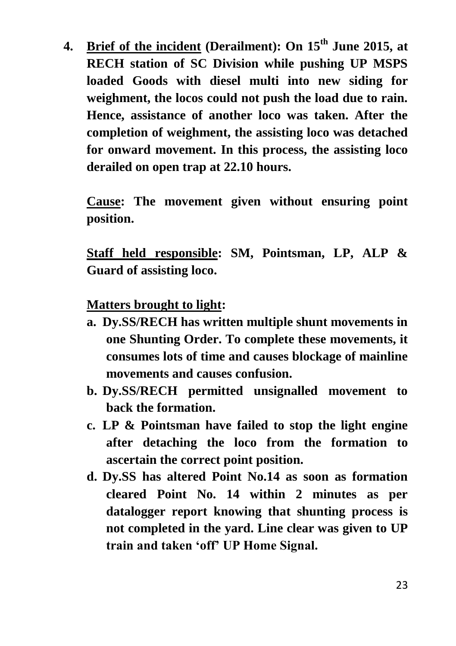**4. Brief of the incident (Derailment): On 15th June 2015, at RECH station of SC Division while pushing UP MSPS loaded Goods with diesel multi into new siding for weighment, the locos could not push the load due to rain. Hence, assistance of another loco was taken. After the completion of weighment, the assisting loco was detached for onward movement. In this process, the assisting loco derailed on open trap at 22.10 hours.**

**Cause: The movement given without ensuring point position.**

**Staff held responsible: SM, Pointsman, LP, ALP & Guard of assisting loco.**

**Matters brought to light:**

- **a. Dy.SS/RECH has written multiple shunt movements in one Shunting Order. To complete these movements, it consumes lots of time and causes blockage of mainline movements and causes confusion.**
- **b. Dy.SS/RECH permitted unsignalled movement to back the formation.**
- **c. LP & Pointsman have failed to stop the light engine after detaching the loco from the formation to ascertain the correct point position.**
- **d. Dy.SS has altered Point No.14 as soon as formation cleared Point No. 14 within 2 minutes as per datalogger report knowing that shunting process is not completed in the yard. Line clear was given to UP train and taken 'off' UP Home Signal.**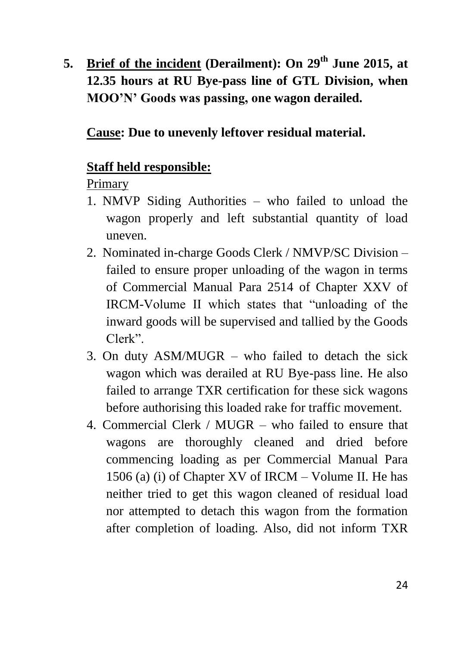**5. Brief of the incident (Derailment): On 29th June 2015, at 12.35 hours at RU Bye-pass line of GTL Division, when MOO'N' Goods was passing, one wagon derailed.**

**Cause: Due to unevenly leftover residual material.**

#### **Staff held responsible:**

Primary

- 1. NMVP Siding Authorities who failed to unload the wagon properly and left substantial quantity of load uneven.
- 2. Nominated in-charge Goods Clerk / NMVP/SC Division failed to ensure proper unloading of the wagon in terms of Commercial Manual Para 2514 of Chapter XXV of IRCM-Volume II which states that "unloading of the inward goods will be supervised and tallied by the Goods Clerk".
- 3. On duty ASM/MUGR who failed to detach the sick wagon which was derailed at RU Bye-pass line. He also failed to arrange TXR certification for these sick wagons before authorising this loaded rake for traffic movement.
- 4. Commercial Clerk / MUGR who failed to ensure that wagons are thoroughly cleaned and dried before commencing loading as per Commercial Manual Para 1506 (a) (i) of Chapter XV of IRCM – Volume II. He has neither tried to get this wagon cleaned of residual load nor attempted to detach this wagon from the formation after completion of loading. Also, did not inform TXR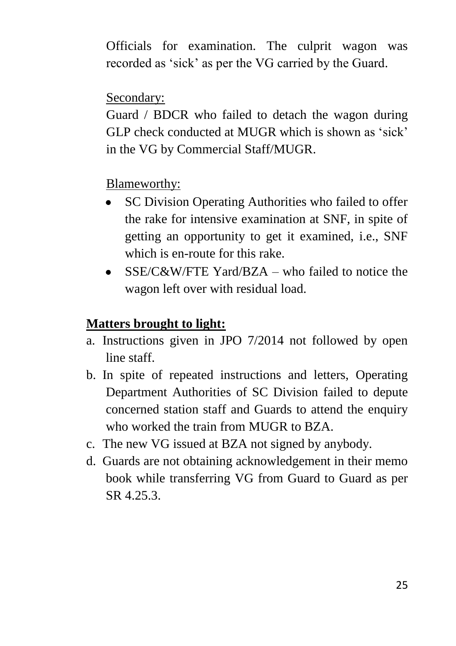Officials for examination. The culprit wagon was recorded as 'sick' as per the VG carried by the Guard.

#### Secondary:

Guard / BDCR who failed to detach the wagon during GLP check conducted at MUGR which is shown as 'sick' in the VG by Commercial Staff/MUGR.

Blameworthy:

- SC Division Operating Authorities who failed to offer the rake for intensive examination at SNF, in spite of getting an opportunity to get it examined, i.e., SNF which is en-route for this rake.
- $\bullet$  SSE/C&W/FTE Yard/BZA who failed to notice the wagon left over with residual load.

#### **Matters brought to light:**

- a. Instructions given in JPO 7/2014 not followed by open line staff.
- b. In spite of repeated instructions and letters, Operating Department Authorities of SC Division failed to depute concerned station staff and Guards to attend the enquiry who worked the train from MUGR to BZA.
- c. The new VG issued at BZA not signed by anybody.
- d. Guards are not obtaining acknowledgement in their memo book while transferring VG from Guard to Guard as per SR 4.25.3.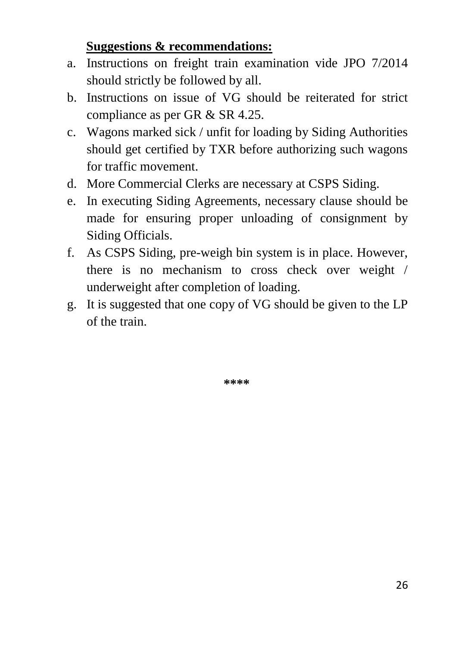#### **Suggestions & recommendations:**

- a. Instructions on freight train examination vide JPO 7/2014 should strictly be followed by all.
- b. Instructions on issue of VG should be reiterated for strict compliance as per GR & SR 4.25.
- c. Wagons marked sick / unfit for loading by Siding Authorities should get certified by TXR before authorizing such wagons for traffic movement.
- d. More Commercial Clerks are necessary at CSPS Siding.
- e. In executing Siding Agreements, necessary clause should be made for ensuring proper unloading of consignment by Siding Officials.
- f. As CSPS Siding, pre-weigh bin system is in place. However, there is no mechanism to cross check over weight / underweight after completion of loading.
- g. It is suggested that one copy of VG should be given to the LP of the train.

**\*\*\*\***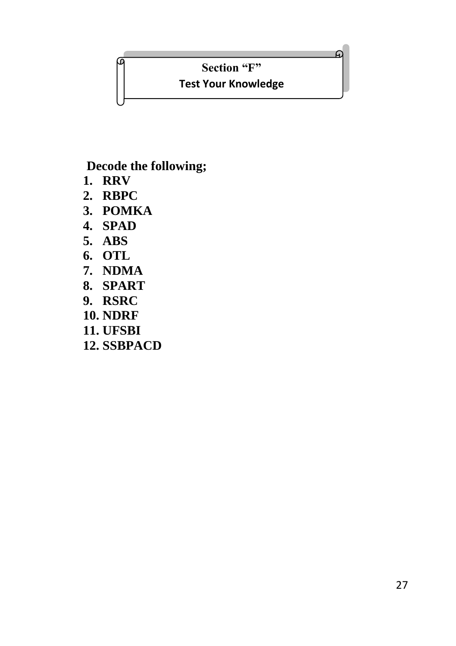**Section "F"** 

G

#### **Test Your Knowledge**

#### **Decode the following;**

- **1. RRV**
- **2. RBPC**
- **3. POMKA**
- **4. SPAD**
- **5. ABS**
- **6. OTL**
- **7. NDMA**
- **8. SPART**
- **9. RSRC**
- **10. NDRF**
- **11. UFSBI**
- **12. SSBPACD**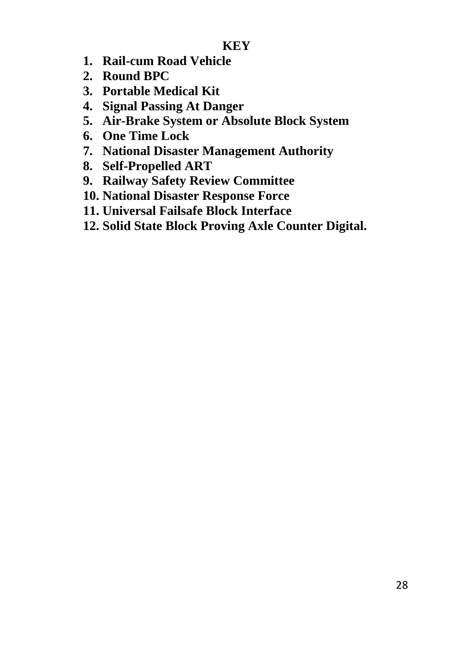#### **KEY**

- **1. Rail-cum Road Vehicle**
- **2. Round BPC**
- **3. Portable Medical Kit**
- **4. Signal Passing At Danger**
- **5. Air-Brake System or Absolute Block System**
- **6. One Time Lock**
- **7. National Disaster Management Authority**
- **8. Self-Propelled ART**
- **9. Railway Safety Review Committee**
- **10. National Disaster Response Force**
- **11. Universal Failsafe Block Interface**
- **12. Solid State Block Proving Axle Counter Digital.**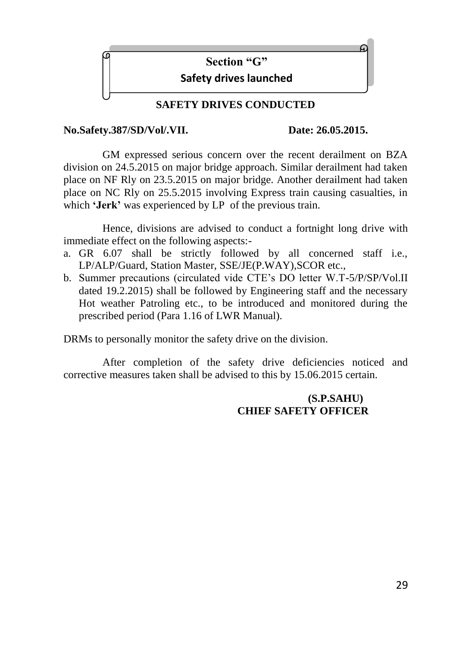

#### **No.Safety.387/SD/Vol/.VII. Date: 26.05.2015.**

GM expressed serious concern over the recent derailment on BZA division on 24.5.2015 on major bridge approach. Similar derailment had taken place on NF Rly on 23.5.2015 on major bridge. Another derailment had taken place on NC Rly on 25.5.2015 involving Express train causing casualties, in which **'Jerk'** was experienced by LP of the previous train.

Hence, divisions are advised to conduct a fortnight long drive with immediate effect on the following aspects:-

- a. GR 6.07 shall be strictly followed by all concerned staff i.e., LP/ALP/Guard, Station Master, SSE/JE(P.WAY),SCOR etc.,
- b. Summer precautions (circulated vide CTE's DO letter W.T-5/P/SP/Vol.II dated 19.2.2015) shall be followed by Engineering staff and the necessary Hot weather Patroling etc., to be introduced and monitored during the prescribed period (Para 1.16 of LWR Manual).

DRMs to personally monitor the safety drive on the division.

After completion of the safety drive deficiencies noticed and corrective measures taken shall be advised to this by 15.06.2015 certain.

#### **(S.P.SAHU) CHIEF SAFETY OFFICER**